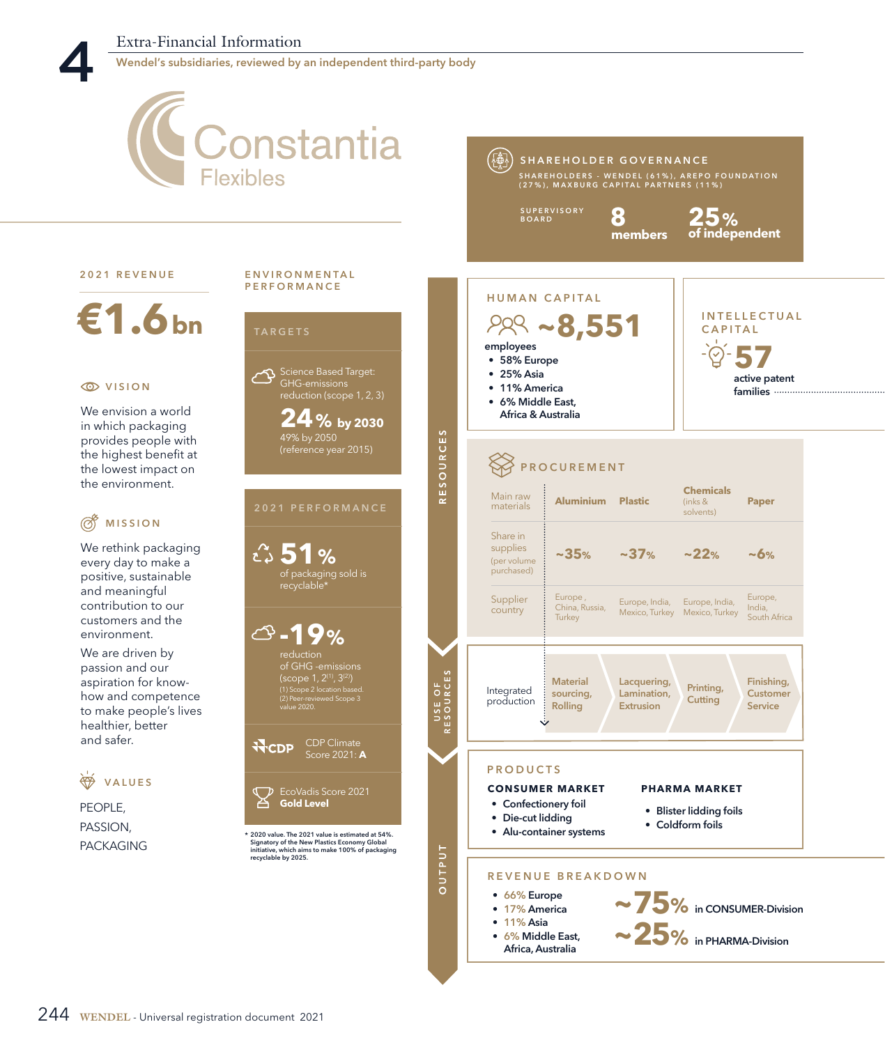Wendel's subsidiaries, reviewed by an independent third-party body

## **Constantia** (轉 SHAREHOLDER GOVERNANCE **Flexibles** SHAREHOLDERS - WENDEL (61%), AREPO FOUNDATION<br>(27%), MAXBURG CAPITAL PARTNERS (11%) **8** SUPERVISORY BOARD **25% of independent members** 2021 REVENUE ENVIRONMENTAL PERFORMANCE HUMAN CAPITAL **€1.6bn** INTELLECTUAL **~8,551** CAPITAL **TARGETS** employees **57** • 58% Europe Science Based Target: • 25% Asia active patent **EXAMPLE VISION** GHG-emissions • 11% America families reduction (scope 1, 2, 3) • 6% Middle East, We envision a world Africa & Australia **24% by 2030** in which packaging RESOURCES provides people with 49% by 2050 (reference year 2015) the highest benefit at PROCUREMENT the lowest impact on the environment. **Chemicals**  Main raw **Aluminium Plastic** (inks & **Paper** materials 、<br>solvents) **OF** MISSION Share in We rethink packaging supplies **51% ~35% ~37% ~22% ~6%** (per volume every day to make a purchased) of packaging sold is positive, sustainable recyclable\* and meaningful Supplier Europe , China, Russia, Europe, India, Europe, India, Europe, India, contribution to our country Mexico, Turkey Mexico, Turkey South Africa **Turkey** customers and the **-19%** environment. We are driven by passion and our of GHG -emissions USE OF<br>RESOURCES aspiration for know-**Material** Lacquering, Finishing, Printing, Integrated (1) Scope 2 location based. sourcing, Lamination, Customer how and competence **Cutting** (2) Peer-reviewed Scope 3 production Rolling Extrusion Service to make people's lives healthier, better Ġ. and safer. ਜੋਦਿਸ਼ Score 2021: **A** PRODUCTS  $\overline{\mathscr{H}}$ VALUES **CONSUMER MARKET PHARMA MARKET** EcoVadis Score 2021 αÞ **Gold Level** • Confectionery foil PEOPLE, • Blister lidding foils • Die-cut lidding • Coldform foils PASSION, • Alu-container systems \* 2020 value. The 2021 value is estimated at 54%. 2020 value. The 2021 value is estimated at 54%. Signatory of the New Plastics Economy Global initiative, which aims to make 100% of packaging recyclable by 2025. PACKAGING **TUALNC** REVENUE BREAKDOWN • 66% Europe **~75**  in CONSUMER-Division

- 
- 17% America
- 11% Asia
- 6% Middle East, Africa, Australia
- $\sim$  **15%** in CONSUMER-Divis<br> $\sim$  25% in PHARMA-Division